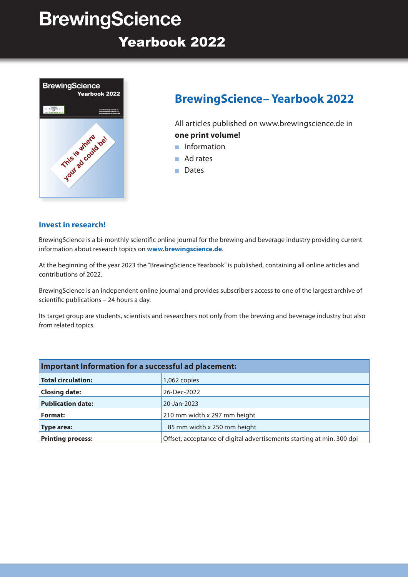# **BrewingScience**

## Yearbook 2022



## **BrewingScience– Yearbook 2022**

All articles published on www.brewingscience.de in **one print volume!**

- Information
- Ad rates
- Dates

#### **Invest in research!**

BrewingScience is a bi-monthly scientific online journal for the brewing and beverage industry providing current information about research topics on **www.brewingscience.de**.

At the beginning of the year 2023 the "BrewingScience Yearbook" is published, containing all online articles and contributions of 2022.

BrewingScience is an independent online journal and provides subscribers access to one of the largest archive of scientific publications – 24 hours a day.

Its target group are students, scientists and researchers not only from the brewing and beverage industry but also from related topics.

| Important Information for a successful ad placement: |                                                                       |  |  |  |
|------------------------------------------------------|-----------------------------------------------------------------------|--|--|--|
| <b>Total circulation:</b>                            | 1,062 copies                                                          |  |  |  |
| <b>Closing date:</b>                                 | 26-Dec-2022                                                           |  |  |  |
| <b>Publication date:</b>                             | 20-Jan-2023                                                           |  |  |  |
| Format:                                              | 210 mm width x 297 mm height                                          |  |  |  |
| Type area:                                           | 85 mm width x 250 mm height                                           |  |  |  |
| <b>Printing process:</b>                             | Offset, acceptance of digital advertisements starting at min. 300 dpi |  |  |  |